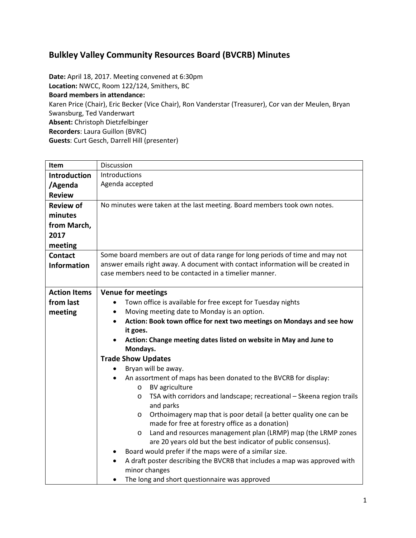## **Bulkley Valley Community Resources Board (BVCRB) Minutes**

**Date:** April 18, 2017. Meeting convened at 6:30pm **Location:** NWCC, Room 122/124, Smithers, BC **Board members in attendance:** Karen Price (Chair), Eric Becker (Vice Chair), Ron Vanderstar (Treasurer), Cor van der Meulen, Bryan Swansburg, Ted Vanderwart **Absent:** Christoph Dietzfelbinger **Recorders**: Laura Guillon (BVRC) **Guests**: Curt Gesch, Darrell Hill (presenter)

| <b>Item</b>         | Discussion                                                                                                |  |  |  |
|---------------------|-----------------------------------------------------------------------------------------------------------|--|--|--|
| <b>Introduction</b> | Introductions                                                                                             |  |  |  |
| /Agenda             | Agenda accepted                                                                                           |  |  |  |
| <b>Review</b>       |                                                                                                           |  |  |  |
| <b>Review of</b>    | No minutes were taken at the last meeting. Board members took own notes.                                  |  |  |  |
| minutes             |                                                                                                           |  |  |  |
| from March,         |                                                                                                           |  |  |  |
| 2017                |                                                                                                           |  |  |  |
| meeting             |                                                                                                           |  |  |  |
| <b>Contact</b>      | Some board members are out of data range for long periods of time and may not                             |  |  |  |
| <b>Information</b>  | answer emails right away. A document with contact information will be created in                          |  |  |  |
|                     | case members need to be contacted in a timelier manner.                                                   |  |  |  |
|                     |                                                                                                           |  |  |  |
| <b>Action Items</b> | <b>Venue for meetings</b>                                                                                 |  |  |  |
| from last           | Town office is available for free except for Tuesday nights                                               |  |  |  |
| meeting             | Moving meeting date to Monday is an option.                                                               |  |  |  |
|                     | Action: Book town office for next two meetings on Mondays and see how                                     |  |  |  |
|                     | it goes.                                                                                                  |  |  |  |
|                     | Action: Change meeting dates listed on website in May and June to                                         |  |  |  |
|                     | Mondays.                                                                                                  |  |  |  |
|                     | <b>Trade Show Updates</b>                                                                                 |  |  |  |
|                     | Bryan will be away.                                                                                       |  |  |  |
|                     | An assortment of maps has been donated to the BVCRB for display:                                          |  |  |  |
|                     | <b>BV</b> agriculture<br>$\circ$<br>TSA with corridors and landscape; recreational - Skeena region trails |  |  |  |
|                     | $\circ$<br>and parks                                                                                      |  |  |  |
|                     | Orthoimagery map that is poor detail (a better quality one can be<br>$\circ$                              |  |  |  |
|                     | made for free at forestry office as a donation)                                                           |  |  |  |
|                     | Land and resources management plan (LRMP) map (the LRMP zones<br>$\circ$                                  |  |  |  |
|                     | are 20 years old but the best indicator of public consensus).                                             |  |  |  |
|                     | Board would prefer if the maps were of a similar size.                                                    |  |  |  |
|                     | A draft poster describing the BVCRB that includes a map was approved with                                 |  |  |  |
|                     | minor changes                                                                                             |  |  |  |
|                     | The long and short questionnaire was approved                                                             |  |  |  |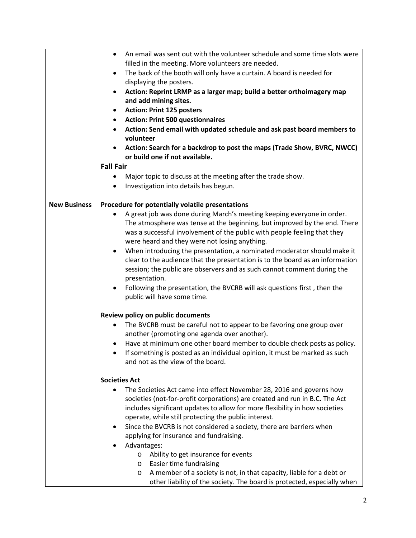|                     | An email was sent out with the volunteer schedule and some time slots were<br>$\bullet$<br>filled in the meeting. More volunteers are needed. |  |  |  |  |
|---------------------|-----------------------------------------------------------------------------------------------------------------------------------------------|--|--|--|--|
|                     |                                                                                                                                               |  |  |  |  |
|                     | The back of the booth will only have a curtain. A board is needed for<br>٠                                                                    |  |  |  |  |
|                     | displaying the posters.                                                                                                                       |  |  |  |  |
|                     | Action: Reprint LRMP as a larger map; build a better orthoimagery map                                                                         |  |  |  |  |
|                     | and add mining sites.                                                                                                                         |  |  |  |  |
|                     | <b>Action: Print 125 posters</b><br>$\bullet$                                                                                                 |  |  |  |  |
|                     | <b>Action: Print 500 questionnaires</b><br>$\bullet$                                                                                          |  |  |  |  |
|                     | Action: Send email with updated schedule and ask past board members to                                                                        |  |  |  |  |
|                     | volunteer                                                                                                                                     |  |  |  |  |
|                     | Action: Search for a backdrop to post the maps (Trade Show, BVRC, NWCC)                                                                       |  |  |  |  |
|                     | or build one if not available.                                                                                                                |  |  |  |  |
|                     | <b>Fall Fair</b>                                                                                                                              |  |  |  |  |
|                     | Major topic to discuss at the meeting after the trade show.<br>$\bullet$                                                                      |  |  |  |  |
|                     | Investigation into details has begun.<br>$\bullet$                                                                                            |  |  |  |  |
|                     |                                                                                                                                               |  |  |  |  |
| <b>New Business</b> | Procedure for potentially volatile presentations                                                                                              |  |  |  |  |
|                     | A great job was done during March's meeting keeping everyone in order.                                                                        |  |  |  |  |
|                     | The atmosphere was tense at the beginning, but improved by the end. There                                                                     |  |  |  |  |
|                     | was a successful involvement of the public with people feeling that they                                                                      |  |  |  |  |
|                     | were heard and they were not losing anything.                                                                                                 |  |  |  |  |
|                     | When introducing the presentation, a nominated moderator should make it<br>$\bullet$                                                          |  |  |  |  |
|                     | clear to the audience that the presentation is to the board as an information                                                                 |  |  |  |  |
|                     | session; the public are observers and as such cannot comment during the                                                                       |  |  |  |  |
|                     | presentation.                                                                                                                                 |  |  |  |  |
|                     |                                                                                                                                               |  |  |  |  |
|                     | Following the presentation, the BVCRB will ask questions first, then the<br>$\bullet$                                                         |  |  |  |  |
|                     | public will have some time.                                                                                                                   |  |  |  |  |
|                     | Review policy on public documents                                                                                                             |  |  |  |  |
|                     | The BVCRB must be careful not to appear to be favoring one group over<br>٠                                                                    |  |  |  |  |
|                     | another (promoting one agenda over another).                                                                                                  |  |  |  |  |
|                     | Have at minimum one other board member to double check posts as policy.                                                                       |  |  |  |  |
|                     |                                                                                                                                               |  |  |  |  |
|                     | If something is posted as an individual opinion, it must be marked as such                                                                    |  |  |  |  |
|                     | and not as the view of the board.                                                                                                             |  |  |  |  |
|                     | <b>Societies Act</b>                                                                                                                          |  |  |  |  |
|                     | The Societies Act came into effect November 28, 2016 and governs how                                                                          |  |  |  |  |
|                     | societies (not-for-profit corporations) are created and run in B.C. The Act                                                                   |  |  |  |  |
|                     | includes significant updates to allow for more flexibility in how societies                                                                   |  |  |  |  |
|                     | operate, while still protecting the public interest.                                                                                          |  |  |  |  |
|                     | Since the BVCRB is not considered a society, there are barriers when                                                                          |  |  |  |  |
|                     |                                                                                                                                               |  |  |  |  |
|                     | applying for insurance and fundraising.                                                                                                       |  |  |  |  |
|                     | Advantages:                                                                                                                                   |  |  |  |  |
|                     | Ability to get insurance for events<br>$\circ$                                                                                                |  |  |  |  |
|                     | Easier time fundraising<br>O                                                                                                                  |  |  |  |  |
|                     | A member of a society is not, in that capacity, liable for a debt or<br>O                                                                     |  |  |  |  |
|                     | other liability of the society. The board is protected, especially when                                                                       |  |  |  |  |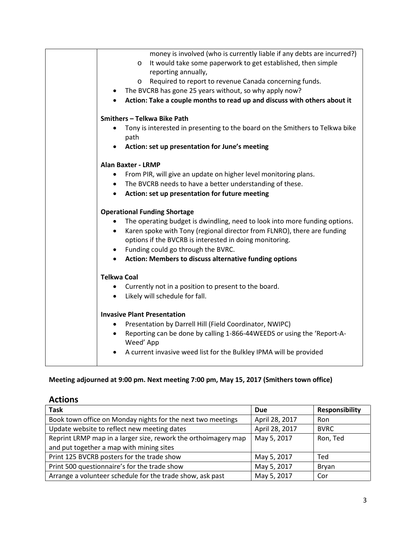| money is involved (who is currently liable if any debts are incurred?)                |  |  |
|---------------------------------------------------------------------------------------|--|--|
| It would take some paperwork to get established, then simple<br>$\circ$               |  |  |
| reporting annually,                                                                   |  |  |
| Required to report to revenue Canada concerning funds.<br>O                           |  |  |
| The BVCRB has gone 25 years without, so why apply now?<br>$\bullet$                   |  |  |
| Action: Take a couple months to read up and discuss with others about it<br>$\bullet$ |  |  |
| Smithers - Telkwa Bike Path                                                           |  |  |
| Tony is interested in presenting to the board on the Smithers to Telkwa bike          |  |  |
| path                                                                                  |  |  |
| Action: set up presentation for June's meeting                                        |  |  |
| <b>Alan Baxter - LRMP</b>                                                             |  |  |
| From PIR, will give an update on higher level monitoring plans.<br>$\bullet$          |  |  |
| • The BVCRB needs to have a better understanding of these.                            |  |  |
| Action: set up presentation for future meeting<br>$\bullet$                           |  |  |
|                                                                                       |  |  |
| <b>Operational Funding Shortage</b>                                                   |  |  |
| The operating budget is dwindling, need to look into more funding options.            |  |  |
| Karen spoke with Tony (regional director from FLNRO), there are funding<br>$\bullet$  |  |  |
| options if the BVCRB is interested in doing monitoring.                               |  |  |
| Funding could go through the BVRC.<br>$\bullet$                                       |  |  |
| Action: Members to discuss alternative funding options<br>$\bullet$                   |  |  |
| <b>Telkwa Coal</b>                                                                    |  |  |
| Currently not in a position to present to the board.<br>$\bullet$                     |  |  |
| Likely will schedule for fall.<br>$\bullet$                                           |  |  |
|                                                                                       |  |  |
| <b>Invasive Plant Presentation</b>                                                    |  |  |
| Presentation by Darrell Hill (Field Coordinator, NWIPC)<br>٠                          |  |  |
| Reporting can be done by calling 1-866-44WEEDS or using the 'Report-A-<br>$\bullet$   |  |  |
| Weed' App                                                                             |  |  |
| A current invasive weed list for the Bulkley IPMA will be provided                    |  |  |
|                                                                                       |  |  |

## **Meeting adjourned at 9:00 pm. Next meeting 7:00 pm, May 15, 2017 (Smithers town office)**

**Actions**

| <b>Task</b>                                                    | <b>Due</b>     | <b>Responsibility</b> |
|----------------------------------------------------------------|----------------|-----------------------|
| Book town office on Monday nights for the next two meetings    | April 28, 2017 | Ron                   |
| Update website to reflect new meeting dates                    | April 28, 2017 | <b>BVRC</b>           |
| Reprint LRMP map in a larger size, rework the orthoimagery map | May 5, 2017    | Ron, Ted              |
| and put together a map with mining sites                       |                |                       |
| Print 125 BVCRB posters for the trade show                     | May 5, 2017    | Ted                   |
| Print 500 questionnaire's for the trade show                   | May 5, 2017    | Bryan                 |
| Arrange a volunteer schedule for the trade show, ask past      | May 5, 2017    | Cor                   |